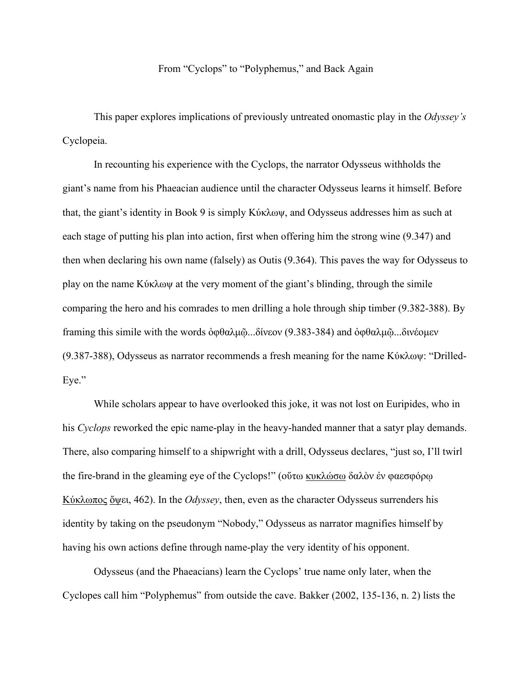## From "Cyclops" to "Polyphemus," and Back Again

This paper explores implications of previously untreated onomastic play in the *Odyssey's* Cyclopeia.

In recounting his experience with the Cyclops, the narrator Odysseus withholds the giant's name from his Phaeacian audience until the character Odysseus learns it himself. Before that, the giant's identity in Book 9 is simply Κύκλωψ, and Odysseus addresses him as such at each stage of putting his plan into action, first when offering him the strong wine (9.347) and then when declaring his own name (falsely) as Outis (9.364). This paves the way for Odysseus to play on the name Κύκλωψ at the very moment of the giant's blinding, through the simile comparing the hero and his comrades to men drilling a hole through ship timber (9.382-388). By framing this simile with the words ὀφθαλμῷ...δίνεον (9.383-384) and ὀφθαλμῷ...δινέομεν (9.387-388), Odysseus as narrator recommends a fresh meaning for the name Κύκλωψ: "Drilled-Eye."

While scholars appear to have overlooked this joke, it was not lost on Euripides, who in his *Cyclops* reworked the epic name-play in the heavy-handed manner that a satyr play demands. There, also comparing himself to a shipwright with a drill, Odysseus declares, "just so, I'll twirl the fire-brand in the gleaming eye of the Cyclops!" (οὕτω κυκλώσω δαλὸν ἐν φαεσφόρῳ Κύκλωπος ὄψει, 462). In the *Odyssey*, then, even as the character Odysseus surrenders his identity by taking on the pseudonym "Nobody," Odysseus as narrator magnifies himself by having his own actions define through name-play the very identity of his opponent.

Odysseus (and the Phaeacians) learn the Cyclops' true name only later, when the Cyclopes call him "Polyphemus" from outside the cave. Bakker (2002, 135-136, n. 2) lists the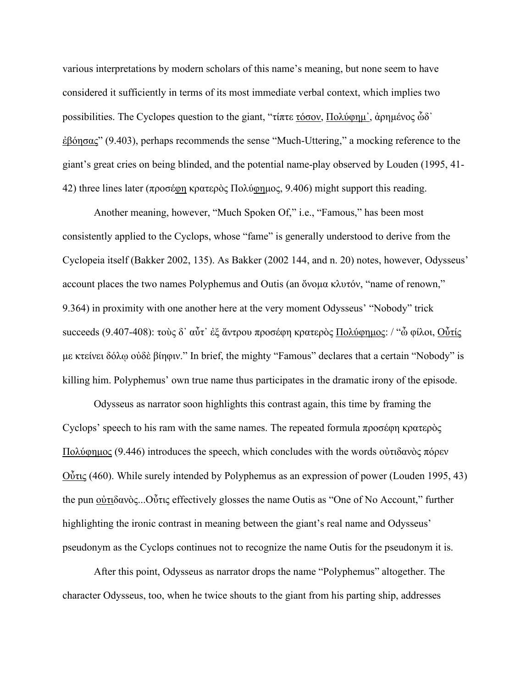various interpretations by modern scholars of this name's meaning, but none seem to have considered it sufficiently in terms of its most immediate verbal context, which implies two possibilities. The Cyclopes question to the giant, "τίπτε τόσον, Πολύφημ᾽, ἀρημένος ὧδ᾽ ἐβόησας" (9.403), perhaps recommends the sense "Much-Uttering," a mocking reference to the giant's great cries on being blinded, and the potential name-play observed by Louden (1995, 41- 42) three lines later (προσέφη κρατερὸς Πολύφημος, 9.406) might support this reading.

Another meaning, however, "Much Spoken Of," i.e., "Famous," has been most consistently applied to the Cyclops, whose "fame" is generally understood to derive from the Cyclopeia itself (Bakker 2002, 135). As Bakker (2002 144, and n. 20) notes, however, Odysseus' account places the two names Polyphemus and Outis (an ὄνομα κλυτόν, "name of renown," 9.364) in proximity with one another here at the very moment Odysseus' "Nobody" trick succeeds (9.407-408): τοὺς δ᾽ αὖτ᾽ ἐξ ἄντρου προσέφη κρατερὸς Πολύφημος: / "ὦ φίλοι, Οὖτίς με κτείνει δόλῳ οὐδὲ βίηφιν." In brief, the mighty "Famous" declares that a certain "Nobody" is killing him. Polyphemus' own true name thus participates in the dramatic irony of the episode.

Odysseus as narrator soon highlights this contrast again, this time by framing the Cyclops' speech to his ram with the same names. The repeated formula προσέφη κρατερὸς Πολύφημος (9.446) introduces the speech, which concludes with the words οὐτιδανὸς πόρεν Οὖτις (460). While surely intended by Polyphemus as an expression of power (Louden 1995, 43) the pun οὐτιδανὸς...Οὖτις effectively glosses the name Outis as "One of No Account," further highlighting the ironic contrast in meaning between the giant's real name and Odysseus' pseudonym as the Cyclops continues not to recognize the name Outis for the pseudonym it is.

After this point, Odysseus as narrator drops the name "Polyphemus" altogether. The character Odysseus, too, when he twice shouts to the giant from his parting ship, addresses